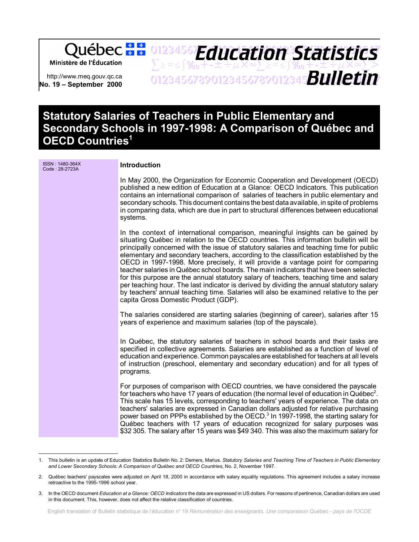Ministère de l'Éducation

http://www.meq.gouv.qc.ca **No. 19 – September 2000**

## 01234567Fducation Statistice  $\sum z \approx \int \mathcal{Y}_{0} + t + \pm \div \mu \times \infty$  $\sum z \approx \int \mathcal{Y}_{0} + t + \pm \div \mu \times \infty$  $\sum >$ 01234567890123456789012345678901234567 *Bulletin Education Statistics*

# **Statutory Salaries of Teachers in Public Elementary and Secondary Schools in 1997-1998: A Comparison of Québec and OECD Countries1**

ISSN : 1480-364X **Introduction** In May 2000, the Organization for Economic Cooperation and Development (OECD) published a new edition of Education at a Glance: OECD Indicators. This publication contains an international comparison of salaries of teachers in public elementary and secondary schools. This document contains the best data available, in spite of problems in comparing data, which are due in part to structural differences between educational systems. In the context of international comparison, meaningful insights can be gained by situating Québec in relation to the OECD countries. This information bulletin will be principally concerned with the issue of statutory salaries and teaching time for public elementary and secondary teachers, according to the classification established by the OECD in 1997-1998. More precisely, it will provide a vantage point for comparing teacher salaries in Québec school boards. The main indicators that have been selected for this purpose are the annual statutory salary of teachers, teaching time and salary per teaching hour. The last indicator is derived by dividing the annual statutory salary by teachers' annual teaching time. Salaries will also be examined relative to the per capita Gross Domestic Product (GDP). The salaries considered are starting salaries (beginning of career), salaries after 15 years of experience and maximum salaries (top of the payscale). In Québec, the statutory salaries of teachers in school boards and their tasks are specified in collective agreements. Salaries are established as a function of level of education and experience. Common payscales are established for teachers at all levels of instruction (preschool, elementary and secondary education) and for all types of programs. For purposes of comparison with OECD countries, we have considered the payscale for teachers who have 17 years of education (the normal level of education in Québec<sup>2</sup>. This scale has 15 levels, corresponding to teachers' years of experience. The data on teachers' salaries are expressed in Canadian dollars adjusted for relative purchasing power based on PPPs established by the OECD.<sup>3</sup> In 1997-1998, the starting salary for Québec teachers with 17 years of education recognized for salary purposes was \$32 305. The salary after 15 years was \$49 340. This was also the maximum salary for

<sup>1.</sup> This bulletin is an update of Education Statistics Bulletin No. 2: Demers, Marius. *Statutory Salaries and Teaching Time of Teachers in Public Elementary and Lower Secondary Schools: A Comparison of Québec and OECD Countries*, No. 2, November 1997.

<sup>2.</sup> Québec teachers' payscales were adjusted on April 18, 2000 in accordance with salary equality regulations. This agreement includes a salary increase retroactive to the 1995-1996 school year.

<sup>3.</sup> In the OECD document *Education at a Glance: OECD Indicators* the data are expressed in US dollars. For reasons of pertinence, Canadian dollars are used in this document. This, however, does not affect the relative classification of countries.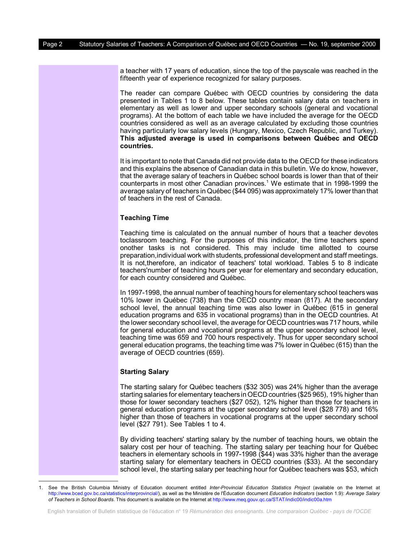a teacher with 17 years of education, since the top of the payscale was reached in the fifteenth year of experience recognized for salary purposes.

The reader can compare Québec with OECD countries by considering the data presented in Tables 1 to 8 below. These tables contain salary data on teachers in elementary as well as lower and upper secondary schools (general and vocational programs). At the bottom of each table we have included the average for the OECD countries considered as well as an average calculated by excluding those countries having particularly low salary levels (Hungary, Mexico, Czech Republic, and Turkey). **This adjusted average is used in comparisons between Québec and OECD countries.** 

It is important to note that Canada did not provide data to the OECD for these indicators and this explains the absence of Canadian data in this bulletin. We do know, however, that the average salary of teachers in Québec school boards is lower than that of their counterparts in most other Canadian provinces.<sup>1</sup> We estimate that in 1998-1999 the average salary of teachers in Québec (\$44 095) was approximately 17% lower than that of teachers in the rest of Canada.

## **Teaching Time**

Teaching time is calculated on the annual number of hours that a teacher devotes toclassroom teaching. For the purposes of this indicator, the time teachers spend onother tasks is not considered. This may include time allotted to course preparation,individual work with students, professional development and staff meetings. It is not,therefore, an indicator of teachers' total workload. Tables 5 to 8 indicate teachers'number of teaching hours per year for elementary and secondary education, for each country considered and Québec.

In 1997-1998, the annual number of teaching hours for elementary school teachers was 10% lower in Québec (738) than the OECD country mean (817). At the secondary school level, the annual teaching time was also lower in Québec (615 in general education programs and 635 in vocational programs) than in the OECD countries. At the lower secondary school level, the average for OECD countries was 717 hours, while for general education and vocational programs at the upper secondary school level, teaching time was 659 and 700 hours respectively. Thus for upper secondary school general education programs, the teaching time was 7% lower in Québec (615) than the average of OECD countries (659).

## **Starting Salary**

The starting salary for Québec teachers (\$32 305) was 24% higher than the average starting salaries for elementary teachers in OECD countries (\$25 965), 19% higher than those for lower secondary teachers (\$27 052), 12% higher than those for teachers in general education programs at the upper secondary school level (\$28 778) and 16% higher than those of teachers in vocational programs at the upper secondary school level (\$27 791). See Tables 1 to 4.

By dividing teachers' starting salary by the number of teaching hours, we obtain the salary cost per hour of teaching. The starting salary per teaching hour for Québec teachers in elementary schools in 1997-1998 (\$44) was 33% higher than the average starting salary for elementary teachers in OECD countries (\$33). At the secondary school level, the starting salary per teaching hour for Québec teachers was \$53, which

<sup>1.</sup> See the British Columbia Ministry of Education document entitled *Inter-Provincial Education Statistics Project* (available on the Internet at [http://www.bced.gov.bc.ca/statistics/interprovincial/\)](http://www.bced.gov.bc.ca/statistics/interprovincial/), as well as the Ministère de l'Éducation document *Education Indicators* (section 1.9): *Average Salary of Teachers in School Boards*. This document is available on the Internet at<http://www.meq.gouv.qc.ca/STAT/indic00/indic00a.htm>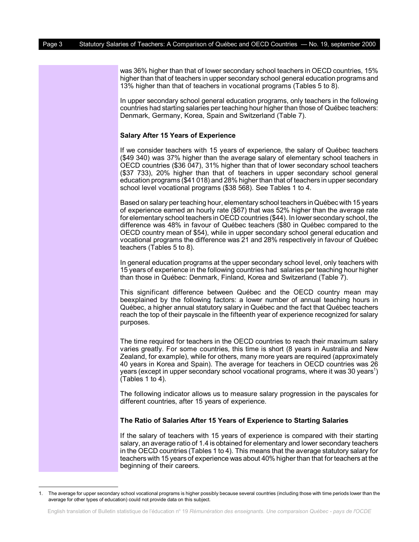was 36% higher than that of lower secondary school teachers in OECD countries, 15% higher than that of teachers in upper secondary school general education programs and 13% higher than that of teachers in vocational programs (Tables 5 to 8).

In upper secondary school general education programs, only teachers in the following countries had starting salaries per teaching hour higher than those of Québec teachers: Denmark, Germany, Korea, Spain and Switzerland (Table 7).

## **Salary After 15 Years of Experience**

If we consider teachers with 15 years of experience, the salary of Québec teachers (\$49 340) was 37% higher than the average salary of elementary school teachers in OECD countries (\$36 047), 31% higher than that of lower secondary school teachers (\$37 733), 20% higher than that of teachers in upper secondary school general education programs (\$41 018) and 28% higher than that of teachers in upper secondary school level vocational programs (\$38 568). See Tables 1 to 4.

Based on salary per teaching hour, elementary school teachers in Québec with 15 years of experience earned an hourly rate (\$67) that was 52% higher than the average rate for elementary school teachers in OECD countries (\$44). In lower secondary school, the difference was 48% in favour of Québec teachers (\$80 in Québec compared to the OECD country mean of \$54), while in upper secondary school general education and vocational programs the difference was 21 and 28% respectively in favour of Québec teachers (Tables 5 to 8).

In general education programs at the upper secondary school level, only teachers with 15 years of experience in the following countries had salaries per teaching hour higher than those in Québec: Denmark, Finland, Korea and Switzerland (Table 7).

This significant difference between Québec and the OECD country mean may beexplained by the following factors: a lower number of annual teaching hours in Québec, a higher annual statutory salary in Québec and the fact that Québec teachers reach the top of their payscale in the fifteenth year of experience recognized for salary purposes.

The time required for teachers in the OECD countries to reach their maximum salary varies greatly. For some countries, this time is short (8 years in Australia and New Zealand, for example), while for others, many more years are required (approximately 40 years in Korea and Spain). The average for teachers in OECD countries was 26 years (except in upper secondary school vocational programs, where it was 30 years<sup>1</sup>) (Tables 1 to 4).

The following indicator allows us to measure salary progression in the payscales for different countries, after 15 years of experience.

#### **The Ratio of Salaries After 15 Years of Experience to Starting Salaries**

If the salary of teachers with 15 years of experience is compared with their starting salary, an average ratio of 1.4 is obtained for elementary and lower secondary teachers in the OECD countries (Tables 1 to 4). This means that the average statutory salary for teachers with 15 years of experience was about 40% higher than that for teachers at the beginning of their careers.

<sup>1.</sup> The average for upper secondary school vocational programs is higher possibly because several countries (including those with time periods lower than the average for other types of education) could not provide data on this subject.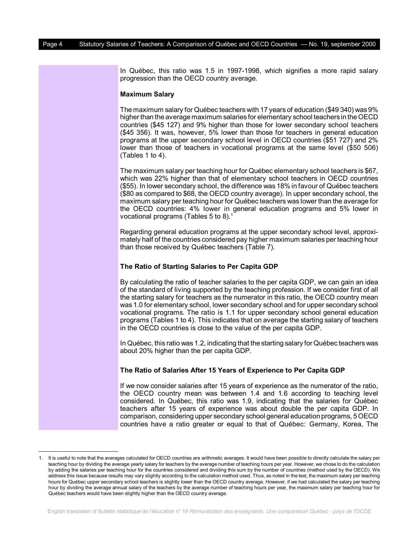In Québec, this ratio was 1.5 in 1997-1998, which signifies a more rapid salary progression than the OECD country average.

### **Maximum Salary**

The maximum salary for Québec teachers with 17 years of education (\$49 340) was 9% higher than the average maximum salaries for elementary school teachers in the OECD countries (\$45 127) and 9% higher than those for lower secondary school teachers (\$45 356). It was, however, 5% lower than those for teachers in general education programs at the upper secondary school level in OECD countries (\$51 727) and 2% lower than those of teachers in vocational programs at the same level (\$50 506) (Tables 1 to 4).

The maximum salary per teaching hour for Québec elementary school teachers is \$67, which was 22% higher than that of elementary school teachers in OECD countries (\$55). In lower secondary school, the difference was 18% in favour of Québec teachers (\$80 as compared to \$68, the OECD country average). In upper secondary school, the maximum salary per teaching hour for Québec teachers was lower than the average for the OECD countries: 4% lower in general education programs and 5% lower in vocational programs (Tables 5 to 8).<sup>1</sup>

Regarding general education programs at the upper secondary school level, approximately half of the countries considered pay higher maximum salaries per teaching hour than those received by Québec teachers (Table 7).

#### **The Ratio of Starting Salaries to Per Capita GDP**

By calculating the ratio of teacher salaries to the per capita GDP, we can gain an idea of the standard of living supported by the teaching profession. If we consider first of all the starting salary for teachers as the numerator in this ratio, the OECD country mean was 1.0 for elementary school, lower secondary school and for upper secondary school vocational programs. The ratio is 1.1 for upper secondary school general education programs (Tables 1 to 4). This indicates that on average the starting salary of teachers in the OECD countries is close to the value of the per capita GDP.

In Québec, this ratio was 1.2, indicating that the starting salary for Québec teachers was about 20% higher than the per capita GDP.

#### **The Ratio of Salaries After 15 Years of Experience to Per Capita GDP**

If we now consider salaries after 15 years of experience as the numerator of the ratio, the OECD country mean was between 1.4 and 1.6 according to teaching level considered. In Québec, this ratio was 1.9, indicating that the salaries for Québec teachers after 15 years of experience was about double the per capita GDP. In comparison, considering upper secondary school general education programs, 5 OECD countries have a ratio greater or equal to that of Québec: Germany, Korea, The

<sup>1.</sup> It is useful to note that the averages calculated for OECD countries are arithmetic averages. It would have been possible to directly calculate the salary per teaching hour by dividing the average yearly salary for teachers by the average number of teaching hours per year. However, we chose to do the calculation by adding the salaries per teaching hour for the countries considered and dividing this sum by the number of countries (method used by the OECD). We address this issue because results may vary slightly according to the calculation method used. Thus, as noted in the text, the maximum salary per teaching hours for Québec upper secondary school teachers is slightly lower than the OECD country average. However, if we had calculated the salary per teaching hour by dividing the average annual salary of the teachers by the average number of teaching hours per year, the maximum salary per teaching hour for Québec teachers would have been slightly higher than the OECD country average.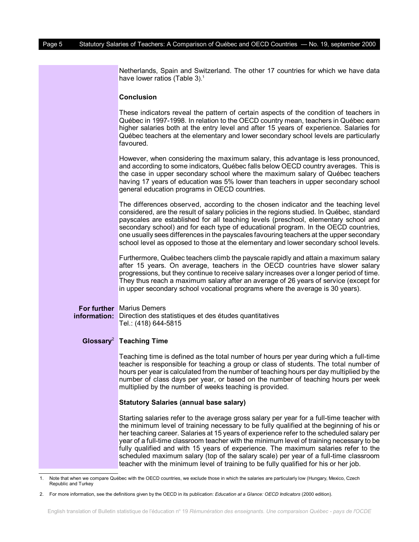Netherlands, Spain and Switzerland. The other 17 countries for which we have data have lower ratios (Table 3).<sup>1</sup>

#### **Conclusion**

These indicators reveal the pattern of certain aspects of the condition of teachers in Québec in 1997-1998. In relation to the OECD country mean, teachers in Québec earn higher salaries both at the entry level and after 15 years of experience. Salaries for Québec teachers at the elementary and lower secondary school levels are particularly favoured.

However, when considering the maximum salary, this advantage is less pronounced, and according to some indicators, Québec falls below OECD country averages. This is the case in upper secondary school where the maximum salary of Québec teachers having 17 years of education was 5% lower than teachers in upper secondary school general education programs in OECD countries.

The differences observed, according to the chosen indicator and the teaching level considered, are the result of salary policies in the regions studied. In Québec, standard payscales are established for all teaching levels (preschool, elementary school and secondary school) and for each type of educational program. In the OECD countries, one usually sees differences in the payscales favouring teachers at the upper secondary school level as opposed to those at the elementary and lower secondary school levels.

Furthermore, Québec teachers climb the payscale rapidly and attain a maximum salary after 15 years. On average, teachers in the OECD countries have slower salary progressions, but they continue to receive salary increases over a longer period of time. They thus reach a maximum salary after an average of 26 years of service (except for in upper secondary school vocational programs where the average is 30 years).

#### **For further** Marius Demers **information:** Direction des statistiques et des études quantitatives Tel.: (418) 644-5815

#### **Glossary**<sup>2</sup> **Teaching Time**

Teaching time is defined as the total number of hours per year during which a full-time teacher is responsible for teaching a group or class of students. The total number of hours per year is calculated from the number of teaching hours per day multiplied by the number of class days per year, or based on the number of teaching hours per week multiplied by the number of weeks teaching is provided.

#### **Statutory Salaries (annual base salary)**

Starting salaries refer to the average gross salary per year for a full-time teacher with the minimum level of training necessary to be fully qualified at the beginning of his or her teaching career. Salaries at 15 years of experience refer to the scheduled salary per year of a full-time classroom teacher with the minimum level of training necessary to be fully qualified and with 15 years of experience. The maximum salaries refer to the scheduled maximum salary (top of the salary scale) per year of a full-time classroom teacher with the minimum level of training to be fully qualified for his or her job.

<sup>1.</sup> Note that when we compare Québec with the OECD countries, we exclude those in which the salaries are particularly low (Hungary, Mexico, Czech Republic and Turkey

<sup>2.</sup> For more information, see the definitions given by the OECD in its publication: *Education at a Glance: OECD Indicators* (2000 edition).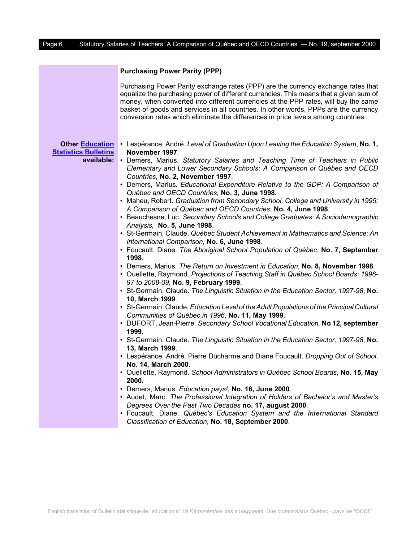| <b>Purchasing Power Parity (PPP)</b> |  |  |  |  |
|--------------------------------------|--|--|--|--|
|--------------------------------------|--|--|--|--|

|                                                                     | Purchasing Power Parity exchange rates (PPP) are the currency exchange rates that<br>equalize the purchasing power of different currencies. This means that a given sum of<br>money, when converted into different currencies at the PPP rates, will buy the same<br>basket of goods and services in all countries. In other words, PPPs are the currency<br>conversion rates which eliminate the differences in price levels among countries.                                                                                                                                                                                                                                                                                                                                                                                                                                                                                                                                                                                                                                                                                                                                                                                                                                                                                                                                                                                                                                                                                                                                                                                                                                                                                                                                                                                                                                                                                                                                                                                                                                                                                                                                     |
|---------------------------------------------------------------------|------------------------------------------------------------------------------------------------------------------------------------------------------------------------------------------------------------------------------------------------------------------------------------------------------------------------------------------------------------------------------------------------------------------------------------------------------------------------------------------------------------------------------------------------------------------------------------------------------------------------------------------------------------------------------------------------------------------------------------------------------------------------------------------------------------------------------------------------------------------------------------------------------------------------------------------------------------------------------------------------------------------------------------------------------------------------------------------------------------------------------------------------------------------------------------------------------------------------------------------------------------------------------------------------------------------------------------------------------------------------------------------------------------------------------------------------------------------------------------------------------------------------------------------------------------------------------------------------------------------------------------------------------------------------------------------------------------------------------------------------------------------------------------------------------------------------------------------------------------------------------------------------------------------------------------------------------------------------------------------------------------------------------------------------------------------------------------------------------------------------------------------------------------------------------------|
| <b>Other Education</b><br><b>Statistics Bulletins</b><br>available: | • Lespérance, André. Level of Graduation Upon Leaving the Education System, No. 1,<br>November 1997.<br>• Demers, Marius. Statutory Salaries and Teaching Time of Teachers in Public<br>Elementary and Lower Secondary Schools: A Comparison of Québec and OECD<br>Countries, No. 2, November 1997.<br>• Demers, Marius. Educational Expenditure Relative to the GDP: A Comparison of<br>Québec and OECD Countries, No. 3, June 1998.<br>• Maheu, Robert. Graduation from Secondary School, College and University in 1995:<br>A Comparison of Québec and OECD Countries, No. 4, June 1998.<br>• Beauchesne, Luc. Secondary Schools and College Graduates: A Sociodemographic<br>Analysis, No. 5, June 1998.<br>• St-Germain, Claude. Québec Student Achievement in Mathematics and Science: An<br>International Comparison, No. 6, June 1998.<br>• Foucault, Diane. The Aboriginal School Population of Québec, No. 7, September<br>1998.<br>• Demers, Marius. The Return on Investment in Education, No. 8, November 1998.<br>• Ouellette, Raymond. Projections of Teaching Staff in Québec School Boards: 1996-<br>97 to 2008-09, No. 9, February 1999.<br>• St-Germain, Claude. The Linguistic Situation in the Education Sector, 1997-98, No.<br>10, March 1999.<br>• St-Germain, Claude. Education Level of the Adult Populations of the Principal Cultural<br>Communities of Québec in 1996, No. 11, May 1999.<br>• DUFORT, Jean-Pierre. Secondary School Vocational Education, No 12, september<br>1999.<br>• St-Germain, Claude. The Linguistic Situation in the Education Sector, 1997-98, No.<br>13, March 1999.<br>• Lespérance, André, Pierre Ducharme and Diane Foucault. Dropping Out of School,<br>No. 14, March 2000.<br>• Ouellette, Raymond. School Administrators in Québec School Boards, No. 15, May<br>2000.<br>· Demers, Marius. Education pays!, No. 16, June 2000.<br>• Audet, Marc. The Professional Integration of Holders of Bachelor's and Master's<br>Degrees Over the Past Two Decades no. 17, august 2000.<br>• Foucault, Diane. Québec's Education System and the International Standard<br>Classification of Education, No. 18, September 2000. |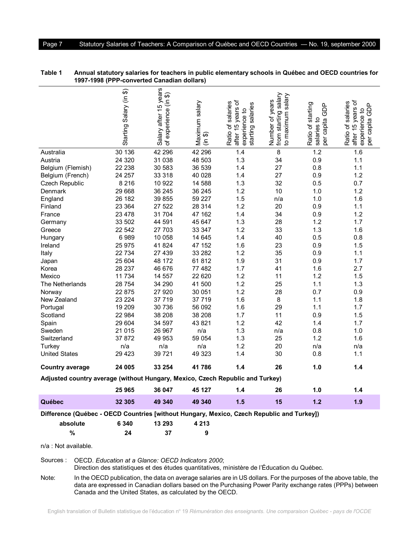|                                                                                           | Starting Salary (in \$) | Salary after 15 years<br>experience (in \$)<br>৳ | Maximum salary<br>န<br>$\in$ | after 15 years of<br>Ratio of salaries<br>starting salaries<br>experience to | from starting salary<br>salary<br>Number of years<br>to maximum | Ratio of starting<br>GDP<br>salaries to<br>capita<br>per | after 15 years of<br>Ratio of salaries<br>GDP<br>experience to<br>capita<br>per |
|-------------------------------------------------------------------------------------------|-------------------------|--------------------------------------------------|------------------------------|------------------------------------------------------------------------------|-----------------------------------------------------------------|----------------------------------------------------------|---------------------------------------------------------------------------------|
| Australia                                                                                 | 30 136                  | 42 296                                           | 42 296                       | 1.4                                                                          | 8                                                               | 1.2                                                      | 1.6                                                                             |
| Austria                                                                                   | 24 3 20                 | 31 038                                           | 48 503                       | 1.3                                                                          | 34                                                              | 0.9                                                      | 1.1                                                                             |
| Belgium (Flemish)                                                                         | 22 238                  | 30 583                                           | 36 539                       | 1.4                                                                          | 27                                                              | 0.8                                                      | 1.1                                                                             |
| Belgium (French)                                                                          | 24 257                  | 33 318                                           | 40 0 28                      | 1.4                                                                          | 27                                                              | 0.9                                                      | 1.2                                                                             |
| Czech Republic                                                                            | 8 2 1 6                 | 10 922                                           | 14 588                       | 1.3                                                                          | 32                                                              | 0.5                                                      | 0.7                                                                             |
| Denmark                                                                                   | 29 668                  | 36 245                                           | 36 245                       | 1.2                                                                          | 10                                                              | 1.0                                                      | 1.2                                                                             |
| England                                                                                   | 26 182                  | 39 855                                           | 59 227                       | 1.5                                                                          | n/a                                                             | 1.0                                                      | 1.6                                                                             |
| Finland                                                                                   | 23 364                  | 27 522                                           | 28 314                       | 1.2                                                                          | 20                                                              | 0.9                                                      | 1.1                                                                             |
| France                                                                                    | 23 478                  | 31 704                                           | 47 162                       | 1.4                                                                          | 34                                                              | 0.9                                                      | 1.2                                                                             |
| Germany                                                                                   | 33 502                  | 44 591                                           | 45 647                       | 1.3                                                                          | 28                                                              | 1.2                                                      | 1.7                                                                             |
| Greece                                                                                    | 22 542                  | 27 703                                           | 33 347                       | 1.2                                                                          | 33                                                              | 1.3                                                      | 1.6                                                                             |
| Hungary                                                                                   | 6989                    | 10 058                                           | 14 645                       | 1.4                                                                          | 40                                                              | 0.5                                                      | 0.8                                                                             |
| Ireland                                                                                   | 25 975                  | 41824                                            | 47 152                       | 1.6                                                                          | 23                                                              | 0.9                                                      | 1.5                                                                             |
| Italy                                                                                     | 22 734                  | 27 439                                           | 33 282                       | 1.2                                                                          | 35                                                              | 0.9                                                      | 1.1                                                                             |
| Japan                                                                                     | 25 604                  | 48 172                                           | 61812                        | 1.9                                                                          | 31                                                              | 0.9                                                      | 1.7                                                                             |
| Korea                                                                                     | 28 237                  | 46 676                                           | 77482                        | 1.7                                                                          | 41                                                              | 1.6                                                      | 2.7                                                                             |
| Mexico                                                                                    | 11 734                  | 14 557                                           | 22 6 20                      | 1.2                                                                          | 11                                                              | 1.2                                                      | 1.5                                                                             |
| The Netherlands                                                                           | 28 754                  | 34 290                                           | 41 500                       | 1.2                                                                          | 25                                                              | 1.1                                                      | 1.3                                                                             |
| Norway                                                                                    | 22 875                  | 27 9 20                                          | 30 051                       | 1.2                                                                          | 28                                                              | 0.7                                                      | 0.9                                                                             |
| New Zealand                                                                               | 23 224                  | 37 719                                           | 37 719                       | 1.6                                                                          | 8                                                               | 1.1                                                      | 1.8                                                                             |
| Portugal                                                                                  | 19 209                  | 30 736                                           | 56 092                       | 1.6                                                                          | 29                                                              | 1.1                                                      | 1.7                                                                             |
| Scotland                                                                                  | 22 984                  | 38 208                                           | 38 208                       | 1.7                                                                          | 11                                                              | 0.9                                                      | 1.5                                                                             |
| Spain                                                                                     | 29 604                  | 34 597                                           | 43 821                       | 1.2                                                                          | 42                                                              | 1.4                                                      | 1.7                                                                             |
| Sweden                                                                                    | 21 015                  | 26 967                                           | n/a                          | 1.3                                                                          | n/a                                                             | 0.8                                                      | 1.0                                                                             |
| Switzerland                                                                               | 37872                   | 49 953                                           | 59 054                       | 1.3                                                                          | 25                                                              | 1.2                                                      | 1.6                                                                             |
| Turkey                                                                                    | n/a                     | n/a                                              | n/a                          | 1.2                                                                          | 20                                                              | n/a                                                      | n/a                                                                             |
| <b>United States</b>                                                                      | 29 423                  | 39 721                                           | 49 323                       | 1.4                                                                          | 30                                                              | 0.8                                                      | 1.1                                                                             |
| <b>Country average</b>                                                                    | 24 005                  | 33 254                                           | 41786                        | 1.4                                                                          | 26                                                              | 1.0                                                      | 1.4                                                                             |
| Adjusted country average (without Hungary, Mexico, Czech Republic and Turkey)             |                         |                                                  |                              |                                                                              |                                                                 |                                                          |                                                                                 |
|                                                                                           | 25 965                  | 36 047                                           | 45 127                       | 1.4                                                                          | 26                                                              | 1.0                                                      | 1.4                                                                             |
| Québec                                                                                    | 32 305                  | 49 340                                           | 49 340                       | 1.5                                                                          | 15                                                              | 1.2                                                      | 1.9                                                                             |
| Difference (Québec - OECD Countries [without Hungary, Mexico, Czech Republic and Turkey]) |                         |                                                  |                              |                                                                              |                                                                 |                                                          |                                                                                 |
| absolute                                                                                  | 6 3 4 0                 | 13 293                                           | 4 2 1 3                      |                                                                              |                                                                 |                                                          |                                                                                 |
| $\%$                                                                                      | 24                      | 37                                               | 9                            |                                                                              |                                                                 |                                                          |                                                                                 |
|                                                                                           |                         |                                                  |                              |                                                                              |                                                                 |                                                          |                                                                                 |

**Table 1 Annual statutory salaries for teachers in public elementary schools in Québec and OECD countries for 1997-1998 (PPP-converted Canadian dollars)**

Sources : OECD. *Education at a Glance: OECD Indicators 2000*; Direction des statistiques et des études quantitatives, ministère de l'Éducation du Québec.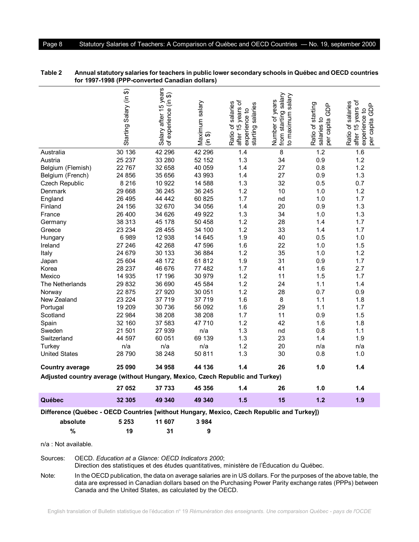| Australia<br>Austria<br>Belgium (Flemish)<br>Belgium (French)<br>Czech Republic<br>Denmark<br>England<br>Finland<br>France<br>Germany | Starting Salary (in \$)<br>30 136<br>25 237<br>22 767<br>24 856<br>8 2 1 6<br>29 668<br>26 495<br>24 156<br>26 400<br>38 313 | 'n<br>Salary after 15 year<br>ଈ<br>experience (in<br>৳<br>42 296<br>33 280<br>32 658<br>35 656<br>10 922<br>36 245<br>44 442<br>32 670<br>34 626<br>45 178 | Maximum salary<br>卫<br>$\tilde{\epsilon}$<br>42 296<br>52 152<br>40 059<br>43 993<br>14 588<br>36 245<br>60 825<br>34 056<br>49 922<br>50 458 | after 15 years of<br>Ratio of salaries<br>starting salaries<br>experience to<br>1.4<br>1.3<br>1.4<br>1.4<br>1.3<br>1.2<br>1.7<br>1.4<br>1.3<br>1.2 | from starting salary<br>to maximum salary<br>Number of years<br>8<br>34<br>27<br>27<br>32<br>10<br>nd<br>20<br>34<br>28 | Ratio of starting<br><b>GDP</b><br>đ<br>per capita<br>salaries<br>1.2<br>0.9<br>0.8<br>0.9<br>0.5<br>1.0<br>1.0<br>0.9<br>1.0<br>1.4 | after 15 years of<br>Ratio of salaries<br>GDP<br>experience to<br>capita<br>per<br>1.6<br>1.2<br>1.2<br>1.3<br>0.7<br>1.2<br>1.7<br>1.3<br>1.3<br>1.7 |
|---------------------------------------------------------------------------------------------------------------------------------------|------------------------------------------------------------------------------------------------------------------------------|------------------------------------------------------------------------------------------------------------------------------------------------------------|-----------------------------------------------------------------------------------------------------------------------------------------------|----------------------------------------------------------------------------------------------------------------------------------------------------|-------------------------------------------------------------------------------------------------------------------------|--------------------------------------------------------------------------------------------------------------------------------------|-------------------------------------------------------------------------------------------------------------------------------------------------------|
| Greece                                                                                                                                | 23 234                                                                                                                       | 28 455                                                                                                                                                     | 34 100                                                                                                                                        | 1.2                                                                                                                                                | 33                                                                                                                      | 1.4                                                                                                                                  | 1.7                                                                                                                                                   |
| Hungary                                                                                                                               | 6989                                                                                                                         | 12 938                                                                                                                                                     | 14 645                                                                                                                                        | 1.9                                                                                                                                                | 40                                                                                                                      | 0.5                                                                                                                                  | 1.0                                                                                                                                                   |
| Ireland                                                                                                                               | 27 246                                                                                                                       | 42 268                                                                                                                                                     | 47 596                                                                                                                                        | 1.6                                                                                                                                                | 22                                                                                                                      | 1.0                                                                                                                                  | 1.5                                                                                                                                                   |
| Italy                                                                                                                                 | 24 679                                                                                                                       | 30 133                                                                                                                                                     | 36 884                                                                                                                                        | 1.2                                                                                                                                                | 35                                                                                                                      | 1.0                                                                                                                                  | 1.2                                                                                                                                                   |
| Japan                                                                                                                                 | 25 604                                                                                                                       | 48 172                                                                                                                                                     | 61812                                                                                                                                         | 1.9                                                                                                                                                | 31                                                                                                                      | 0.9                                                                                                                                  | 1.7                                                                                                                                                   |
| Korea                                                                                                                                 | 28 237                                                                                                                       | 46 676                                                                                                                                                     | 77 482                                                                                                                                        | 1.7                                                                                                                                                | 41                                                                                                                      | 1.6                                                                                                                                  | 2.7                                                                                                                                                   |
| Mexico                                                                                                                                | 14 935                                                                                                                       | 17 196                                                                                                                                                     | 30 979                                                                                                                                        | 1.2                                                                                                                                                | 11                                                                                                                      | 1.5                                                                                                                                  | 1.7                                                                                                                                                   |
| The Netherlands                                                                                                                       | 29 832                                                                                                                       | 36 690                                                                                                                                                     | 45 584                                                                                                                                        | 1.2                                                                                                                                                | 24                                                                                                                      | 1.1                                                                                                                                  | 1.4                                                                                                                                                   |
| Norway                                                                                                                                | 22 875                                                                                                                       | 27 920                                                                                                                                                     | 30 051                                                                                                                                        | 1.2                                                                                                                                                | 28                                                                                                                      | 0.7                                                                                                                                  | 0.9                                                                                                                                                   |
| New Zealand                                                                                                                           | 23 224                                                                                                                       | 37 719                                                                                                                                                     | 37 719                                                                                                                                        | 1.6                                                                                                                                                | 8                                                                                                                       | 1.1                                                                                                                                  | 1.8                                                                                                                                                   |
| Portugal                                                                                                                              | 19 209                                                                                                                       | 30 736                                                                                                                                                     | 56 092                                                                                                                                        | 1.6                                                                                                                                                | 29                                                                                                                      | 1.1                                                                                                                                  | 1.7                                                                                                                                                   |
| Scotland                                                                                                                              | 22 984                                                                                                                       | 38 208                                                                                                                                                     | 38 208                                                                                                                                        | 1.7                                                                                                                                                | 11                                                                                                                      | 0.9                                                                                                                                  | 1.5                                                                                                                                                   |
| Spain                                                                                                                                 | 32 160                                                                                                                       | 37 583                                                                                                                                                     | 47 710                                                                                                                                        | 1.2                                                                                                                                                | 42                                                                                                                      | 1.6                                                                                                                                  | 1.8                                                                                                                                                   |
| Sweden                                                                                                                                | 21 501                                                                                                                       | 27 939                                                                                                                                                     | n/a                                                                                                                                           | 1.3                                                                                                                                                | nd                                                                                                                      | 0.8                                                                                                                                  | 1.1                                                                                                                                                   |
| Switzerland                                                                                                                           | 44 597                                                                                                                       | 60 051                                                                                                                                                     | 69 139                                                                                                                                        | 1.3                                                                                                                                                | 23                                                                                                                      | 1.4                                                                                                                                  | 1.9                                                                                                                                                   |
| Turkey                                                                                                                                | n/a                                                                                                                          | n/a                                                                                                                                                        | n/a                                                                                                                                           | 1.2                                                                                                                                                | 20                                                                                                                      | n/a                                                                                                                                  | n/a                                                                                                                                                   |
| <b>United States</b>                                                                                                                  | 28790                                                                                                                        | 38 248                                                                                                                                                     | 50 811                                                                                                                                        | 1.3                                                                                                                                                | 30                                                                                                                      | 0.8                                                                                                                                  | 1.0                                                                                                                                                   |
| <b>Country average</b>                                                                                                                | 25 090                                                                                                                       | 34 958                                                                                                                                                     | 44 136                                                                                                                                        | 1.4                                                                                                                                                | 26                                                                                                                      | 1.0                                                                                                                                  | 1.4                                                                                                                                                   |
| Adjusted country average (without Hungary, Mexico, Czech Republic and Turkey)                                                         |                                                                                                                              |                                                                                                                                                            |                                                                                                                                               |                                                                                                                                                    |                                                                                                                         |                                                                                                                                      |                                                                                                                                                       |
|                                                                                                                                       | 27 052                                                                                                                       | 37 733                                                                                                                                                     | 45 356                                                                                                                                        | 1.4                                                                                                                                                | 26                                                                                                                      | 1.0                                                                                                                                  | 1.4                                                                                                                                                   |
| Québec                                                                                                                                | 32 305                                                                                                                       | 49 340                                                                                                                                                     | 49 340                                                                                                                                        | 1.5                                                                                                                                                | 15                                                                                                                      | $1.2$                                                                                                                                | 1.9                                                                                                                                                   |
| Difference (Québec - OECD Countries [without Hungary, Mexico, Czech Republic and Turkey])                                             |                                                                                                                              |                                                                                                                                                            |                                                                                                                                               |                                                                                                                                                    |                                                                                                                         |                                                                                                                                      |                                                                                                                                                       |
| absolute                                                                                                                              | 5 2 5 3                                                                                                                      | 11 607                                                                                                                                                     | 3984                                                                                                                                          |                                                                                                                                                    |                                                                                                                         |                                                                                                                                      |                                                                                                                                                       |
| %                                                                                                                                     | 19                                                                                                                           | 31                                                                                                                                                         | 9                                                                                                                                             |                                                                                                                                                    |                                                                                                                         |                                                                                                                                      |                                                                                                                                                       |

| Table 2 | Annual statutory salaries for teachers in public lower secondary schools in Québec and OECD countries |
|---------|-------------------------------------------------------------------------------------------------------|
|         | for 1997-1998 (PPP-converted Canadian dollars)                                                        |

Sources: OECD. *Education at a Glance: OECD Indicators 2000*;

Direction des statistiques et des études quantitatives, ministère de l'Éducation du Québec.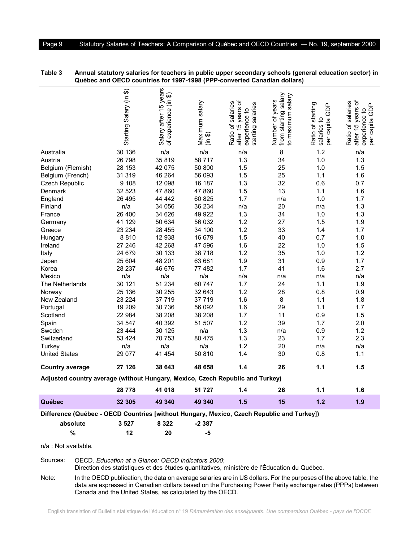| Australia<br>Austria<br>Belgium (Flemish)<br>Belgium (French)                             | Starting Salary (in \$)<br>30 136<br>26 798<br>28 153<br>31 319 | Salary after 15 years<br>experience (in \$)<br>৳<br>n/a<br>35819<br>42 075<br>46 264 | Maximum salary<br>မ<br>$\tilde{\epsilon}$<br>n/a<br>58 717<br>50 800<br>56 093 | after 15 years of<br>Ratio of salaries<br>starting salaries<br>experience to<br>n/a<br>1.3<br>1.5<br>1.5 | from starting salary<br>to maximum salary<br>Number of years<br>8<br>34<br>25<br>25 | Ratio of starting<br>GDP<br>٩<br>per capita<br>salaries<br>1.2<br>1.0<br>1.0<br>1.1 | after 15 years of<br>Ratio of salaries<br><b>GDP</b><br>experience to<br>capita<br>per<br>n/a<br>1.3<br>1.5<br>1.6 |
|-------------------------------------------------------------------------------------------|-----------------------------------------------------------------|--------------------------------------------------------------------------------------|--------------------------------------------------------------------------------|----------------------------------------------------------------------------------------------------------|-------------------------------------------------------------------------------------|-------------------------------------------------------------------------------------|--------------------------------------------------------------------------------------------------------------------|
| Czech Republic                                                                            | 9 1 0 8                                                         | 12 098                                                                               | 16 187                                                                         | 1.3                                                                                                      | 32                                                                                  | 0.6                                                                                 | 0.7                                                                                                                |
| Denmark                                                                                   | 32 523                                                          | 47 860                                                                               | 47 860                                                                         | 1.5                                                                                                      | 13                                                                                  | 1.1                                                                                 | 1.6                                                                                                                |
| England                                                                                   | 26 495                                                          | 44 442                                                                               | 60 825                                                                         | 1.7                                                                                                      | n/a                                                                                 | 1.0                                                                                 | 1.7                                                                                                                |
| Finland                                                                                   | n/a                                                             | 34 056                                                                               | 36 234                                                                         | n/a                                                                                                      | 20                                                                                  | n/a                                                                                 | 1.3                                                                                                                |
| France                                                                                    | 26 400                                                          | 34 626                                                                               | 49 922                                                                         | 1.3                                                                                                      | 34                                                                                  | 1.0                                                                                 | 1.3                                                                                                                |
| Germany                                                                                   | 41 129                                                          | 50 634                                                                               | 56 032<br>34 100                                                               | 1.2                                                                                                      | 27                                                                                  | 1.5                                                                                 | 1.9                                                                                                                |
| Greece                                                                                    | 23 2 34                                                         | 28 455                                                                               |                                                                                | 1.2                                                                                                      | 33                                                                                  | 1.4                                                                                 | 1.7                                                                                                                |
| Hungary                                                                                   | 8810<br>27 246                                                  | 12 938<br>42 268                                                                     | 16 679<br>47 596                                                               | 1.5<br>1.6                                                                                               | 40<br>22                                                                            | 0.7<br>1.0                                                                          | 1.0<br>1.5                                                                                                         |
| Ireland<br>Italy                                                                          | 24 679                                                          | 30 133                                                                               | 38718                                                                          | 1.2                                                                                                      | 35                                                                                  | 1.0                                                                                 | 1.2                                                                                                                |
|                                                                                           | 25 604                                                          | 48 201                                                                               | 63 681                                                                         | 1.9                                                                                                      | 31                                                                                  | 0.9                                                                                 | 1.7                                                                                                                |
| Japan<br>Korea                                                                            | 28 237                                                          | 46 676                                                                               | 77 482                                                                         | 1.7                                                                                                      | 41                                                                                  | 1.6                                                                                 | 2.7                                                                                                                |
| Mexico                                                                                    | n/a                                                             | n/a                                                                                  | n/a                                                                            | n/a                                                                                                      | n/a                                                                                 | n/a                                                                                 | n/a                                                                                                                |
| The Netherlands                                                                           | 30 121                                                          | 51 234                                                                               | 60 747                                                                         | 1.7                                                                                                      | 24                                                                                  | 1.1                                                                                 | 1.9                                                                                                                |
| Norway                                                                                    | 25 136                                                          | 30 255                                                                               | 32 643                                                                         | 1.2                                                                                                      | 28                                                                                  | 0.8                                                                                 | 0.9                                                                                                                |
| New Zealand                                                                               | 23 2 24                                                         | 37 719                                                                               | 37 719                                                                         | 1.6                                                                                                      | 8                                                                                   | 1.1                                                                                 | 1.8                                                                                                                |
| Portugal                                                                                  | 19 209                                                          | 30 736                                                                               | 56 092                                                                         | 1.6                                                                                                      | 29                                                                                  | 1.1                                                                                 | 1.7                                                                                                                |
| Scotland                                                                                  | 22 984                                                          | 38 208                                                                               | 38 208                                                                         | 1.7                                                                                                      | 11                                                                                  | 0.9                                                                                 | 1.5                                                                                                                |
| Spain                                                                                     | 34 547                                                          | 40 392                                                                               | 51 507                                                                         | 1.2                                                                                                      | 39                                                                                  | 1.7                                                                                 | 2.0                                                                                                                |
| Sweden                                                                                    | 23 4 44                                                         | 30 125                                                                               | n/a                                                                            | 1.3                                                                                                      | n/a                                                                                 | 0.9                                                                                 | 1.2                                                                                                                |
| Switzerland                                                                               | 53 4 24                                                         | 70 753                                                                               | 80 475                                                                         | 1.3                                                                                                      | 23                                                                                  | 1.7                                                                                 | 2.3                                                                                                                |
| Turkey                                                                                    | n/a                                                             | n/a                                                                                  | n/a                                                                            | 1.2                                                                                                      | 20                                                                                  | n/a                                                                                 | n/a                                                                                                                |
| <b>United States</b>                                                                      | 29 0 77                                                         | 41 454                                                                               | 50 810                                                                         | 1.4                                                                                                      | 30                                                                                  | 0.8                                                                                 | 1.1                                                                                                                |
| <b>Country average</b>                                                                    | 27 126                                                          | 38 643                                                                               | 48 658                                                                         | 1.4                                                                                                      | 26                                                                                  | 1.1                                                                                 | 1.5                                                                                                                |
| Adjusted country average (without Hungary, Mexico, Czech Republic and Turkey)             |                                                                 |                                                                                      |                                                                                |                                                                                                          |                                                                                     |                                                                                     |                                                                                                                    |
|                                                                                           | 28778                                                           | 41 018                                                                               | 51 727                                                                         | 1.4                                                                                                      | 26                                                                                  | 1.1                                                                                 | 1.6                                                                                                                |
| Québec                                                                                    | 32 305                                                          | 49 340                                                                               | 49 340                                                                         | 1.5                                                                                                      | 15                                                                                  | $1.2$                                                                               | 1.9                                                                                                                |
| Difference (Québec - OECD Countries [without Hungary, Mexico, Czech Republic and Turkey]) |                                                                 |                                                                                      |                                                                                |                                                                                                          |                                                                                     |                                                                                     |                                                                                                                    |
| absolute                                                                                  | 3527                                                            | 8 3 2 2                                                                              | $-2387$                                                                        |                                                                                                          |                                                                                     |                                                                                     |                                                                                                                    |
| $\%$                                                                                      | 12                                                              | 20                                                                                   | -5                                                                             |                                                                                                          |                                                                                     |                                                                                     |                                                                                                                    |
|                                                                                           |                                                                 |                                                                                      |                                                                                |                                                                                                          |                                                                                     |                                                                                     |                                                                                                                    |

**Table 3 Annual statutory salaries for teachers in public upper secondary schools (general education sector) in Québec and OECD countries for 1997-1998 (PPP-converted Canadian dollars)**

n/a : Not available.

Sources: OECD. *Education at a Glance: OECD Indicators 2000*; Direction des statistiques et des études quantitatives, ministère de l'Éducation du Québec.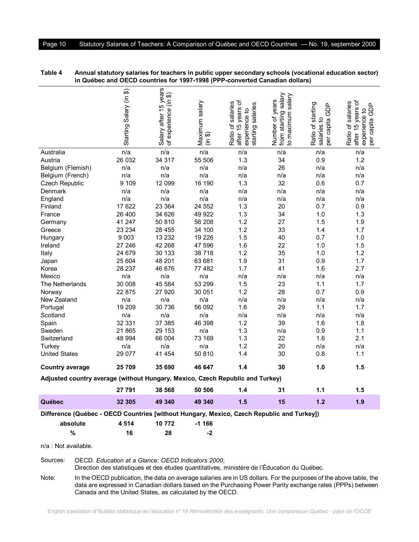|                                                                                           | Starting Salary (in \$) | Salary after 15 years<br>experience (in \$)<br>৳ | Maximum salary<br>မ<br>$\tilde{\epsilon}$ | 15 years of<br>Ratio of salaries<br>starting salaries<br>experience to<br>after | from starting salary<br>to maximum salary<br>Number of years | Ratio of starting<br>GDP<br>đ<br>per capita<br>salaries | after 15 years of<br>Ratio of salaries<br>GDP<br>experience to<br>capita<br>per |
|-------------------------------------------------------------------------------------------|-------------------------|--------------------------------------------------|-------------------------------------------|---------------------------------------------------------------------------------|--------------------------------------------------------------|---------------------------------------------------------|---------------------------------------------------------------------------------|
| Australia                                                                                 | n/a                     | n/a                                              | n/a                                       | n/a                                                                             | n/a                                                          | n/a                                                     | n/a                                                                             |
| Austria                                                                                   | 26 032                  | 34 317                                           | 55 506                                    | 1.3                                                                             | 34                                                           | 0.9                                                     | 1.2                                                                             |
| Belgium (Flemish)                                                                         | n/a                     | n/a                                              | n/a                                       | n/a                                                                             | 26                                                           | n/a                                                     | n/a                                                                             |
| Belgium (French)                                                                          | n/a                     | n/a                                              | n/a                                       | n/a                                                                             | n/a                                                          | n/a                                                     | n/a                                                                             |
| Czech Republic                                                                            | 9 109                   | 12 099                                           | 16 190                                    | 1.3                                                                             | 32                                                           | 0.6                                                     | 0.7                                                                             |
| Denmark                                                                                   | n/a                     | n/a                                              | n/a                                       | n/a                                                                             | n/a                                                          | n/a                                                     | n/a                                                                             |
| England                                                                                   | n/a                     | n/a                                              | n/a                                       | n/a                                                                             | n/a                                                          | n/a                                                     | n/a                                                                             |
| Finland                                                                                   | 17 622                  | 23 364                                           | 24 552                                    | 1.3                                                                             | 20                                                           | 0.7                                                     | 0.9                                                                             |
| France                                                                                    | 26 400                  | 34 626                                           | 49 922                                    | 1.3                                                                             | 34                                                           | 1.0                                                     | 1.3                                                                             |
| Germany                                                                                   | 41 247                  | 50 810                                           | 56 208                                    | 1.2                                                                             | 27                                                           | 1.5                                                     | 1.9                                                                             |
| Greece                                                                                    | 23 234                  | 28 455                                           | 34 100                                    | 1.2                                                                             | 33                                                           | 1.4                                                     | 1.7                                                                             |
| Hungary                                                                                   | 9 0 0 3                 | 13 2 32                                          | 19 2 26                                   | 1.5                                                                             | 40                                                           | 0.7                                                     | 1.0                                                                             |
| Ireland                                                                                   | 27 246                  | 42 268                                           | 47 596                                    | 1.6                                                                             | 22                                                           | 1.0                                                     | 1.5                                                                             |
| Italy                                                                                     | 24 679                  | 30 133                                           | 38718                                     | 1.2                                                                             | 35                                                           | 1.0                                                     | 1.2                                                                             |
| Japan                                                                                     | 25 604                  | 48 201                                           | 63 681                                    | 1.9                                                                             | 31                                                           | 0.9                                                     | 1.7                                                                             |
| Korea                                                                                     | 28 237                  | 46 676                                           | 77 482                                    | 1.7                                                                             | 41                                                           | 1.6                                                     | 2.7                                                                             |
| Mexico                                                                                    | n/a                     | n/a                                              | n/a                                       | n/a                                                                             | n/a                                                          | n/a                                                     | n/a                                                                             |
| The Netherlands                                                                           | 30 008                  | 45 584                                           | 53 299                                    | 1.5                                                                             | 23                                                           | 1.1                                                     | 1.7                                                                             |
| Norway                                                                                    | 22 875                  | 27 920                                           | 30 051                                    | 1.2                                                                             | 28                                                           | 0.7                                                     | 0.9                                                                             |
| New Zealand                                                                               | n/a                     | n/a                                              | n/a                                       | n/a                                                                             | n/a                                                          | n/a                                                     | n/a                                                                             |
| Portugal                                                                                  | 19 209                  | 30 736                                           | 56 092                                    | 1.6                                                                             | 29                                                           | 1.1                                                     | 1.7                                                                             |
| Scotland                                                                                  | n/a                     | n/a                                              | n/a                                       | n/a                                                                             | n/a                                                          | n/a                                                     | n/a                                                                             |
| Spain                                                                                     | 32 331                  | 37 385                                           | 46 398                                    | 1.2                                                                             | 39                                                           | 1.6                                                     | 1.8                                                                             |
| Sweden                                                                                    | 21 865                  | 29 153                                           | n/a                                       | 1.3                                                                             | n/a                                                          | 0.9                                                     | 1.1                                                                             |
| Switzerland                                                                               | 48 994                  | 66 004                                           | 73 169                                    | 1.3                                                                             | 22                                                           | 1.6                                                     | 2.1                                                                             |
| Turkey                                                                                    | n/a                     | n/a                                              | n/a                                       | 1.2                                                                             | 20                                                           | n/a                                                     | n/a                                                                             |
| <b>United States</b>                                                                      | 29 077                  | 41 454                                           | 50 810                                    | 1.4                                                                             | 30                                                           | 0.8                                                     | 1.1                                                                             |
| <b>Country average</b>                                                                    | 25 709                  | 35 690                                           | 46 647                                    | 1.4                                                                             | 30                                                           | 1.0                                                     | 1.5                                                                             |
| Adjusted country average (without Hungary, Mexico, Czech Republic and Turkey)             |                         |                                                  |                                           |                                                                                 |                                                              |                                                         |                                                                                 |
|                                                                                           | 27 791                  | 38 568                                           | 50 506                                    | 1.4                                                                             | 31                                                           | 1.1                                                     | 1.5                                                                             |
| Québec                                                                                    | 32 305                  | 49 340                                           | 49 340                                    | 1.5                                                                             | 15                                                           | 1.2                                                     | 1.9                                                                             |
| Difference (Québec - OECD Countries [without Hungary, Mexico, Czech Republic and Turkey]) |                         |                                                  |                                           |                                                                                 |                                                              |                                                         |                                                                                 |
| absolute                                                                                  | 4514                    | 10 772                                           | -1 166                                    |                                                                                 |                                                              |                                                         |                                                                                 |
| $\frac{9}{6}$                                                                             | 16                      | 28                                               | $-2$                                      |                                                                                 |                                                              |                                                         |                                                                                 |
|                                                                                           |                         |                                                  |                                           |                                                                                 |                                                              |                                                         |                                                                                 |

| Table 4 | Annual statutory salaries for teachers in public upper secondary schools (vocational education sector) |
|---------|--------------------------------------------------------------------------------------------------------|
|         | in Québec and OECD countries for 1997-1998 (PPP-converted Canadian dollars)                            |

Sources: OECD. *Education at a Glance: OECD Indicators 2000*; Direction des statistiques et des études quantitatives, ministère de l'Éducation du Québec.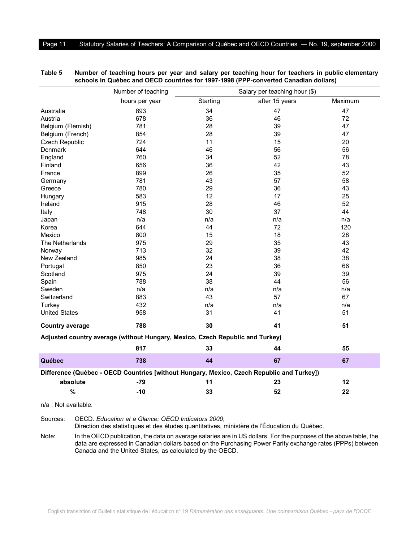|                        | Number of teaching                                                            | Salary per teaching hour (\$) |                                                                                           |         |  |
|------------------------|-------------------------------------------------------------------------------|-------------------------------|-------------------------------------------------------------------------------------------|---------|--|
|                        | hours per year                                                                | Starting                      | after 15 years                                                                            | Maximum |  |
| Australia              | 893                                                                           | 34                            | 47                                                                                        | 47      |  |
| Austria                | 678                                                                           | 36                            | 46                                                                                        | 72      |  |
| Belgium (Flemish)      | 781                                                                           | 28                            | 39                                                                                        | 47      |  |
| Belgium (French)       | 854                                                                           | 28                            | 39                                                                                        | 47      |  |
| Czech Republic         | 724                                                                           | 11                            | 15                                                                                        | 20      |  |
| Denmark                | 644                                                                           | 46                            | 56                                                                                        | 56      |  |
| England                | 760                                                                           | 34                            | 52                                                                                        | 78      |  |
| Finland                | 656                                                                           | 36                            | 42                                                                                        | 43      |  |
| France                 | 899                                                                           | 26                            | 35                                                                                        | 52      |  |
| Germany                | 781                                                                           | 43                            | 57                                                                                        | 58      |  |
| Greece                 | 780                                                                           | 29                            | 36                                                                                        | 43      |  |
| Hungary                | 583                                                                           | 12                            | 17                                                                                        | 25      |  |
| Ireland                | 915                                                                           | 28                            | 46                                                                                        | 52      |  |
| Italy                  | 748                                                                           | 30                            | 37                                                                                        | 44      |  |
| Japan                  | n/a                                                                           | n/a                           | n/a                                                                                       | n/a     |  |
| Korea                  | 644                                                                           | 44                            | 72                                                                                        | 120     |  |
| Mexico                 | 800                                                                           | 15                            | 18                                                                                        | 28      |  |
| The Netherlands        | 975                                                                           | 29                            | 35                                                                                        | 43      |  |
| Norway                 | 713                                                                           | 32                            | 39                                                                                        | 42      |  |
| New Zealand            | 985                                                                           | 24                            | 38                                                                                        | 38      |  |
| Portugal               | 850                                                                           | 23                            | 36                                                                                        | 66      |  |
| Scotland               | 975                                                                           | 24                            | 39                                                                                        | 39      |  |
| Spain                  | 788                                                                           | 38                            | 44                                                                                        | 56      |  |
| Sweden                 | n/a                                                                           | n/a                           | n/a                                                                                       | n/a     |  |
| Switzerland            | 883                                                                           | 43                            | 57                                                                                        | 67      |  |
| Turkey                 | 432                                                                           | n/a                           | n/a                                                                                       | n/a     |  |
| <b>United States</b>   | 958                                                                           | 31                            | 41                                                                                        | 51      |  |
| <b>Country average</b> | 788                                                                           | 30                            | 41                                                                                        | 51      |  |
|                        | Adjusted country average (without Hungary, Mexico, Czech Republic and Turkey) |                               |                                                                                           |         |  |
|                        | 817                                                                           | 33                            | 44                                                                                        | 55      |  |
| Québec                 | 738                                                                           | 44                            | 67                                                                                        | 67      |  |
|                        |                                                                               |                               | Difference (Québec - OECD Countries [without Hungary, Mexico, Czech Republic and Turkey]) |         |  |
|                        |                                                                               |                               |                                                                                           |         |  |
| absolute               | -79                                                                           | 11                            | 23                                                                                        | 12      |  |
| %                      | $-10$                                                                         | 33                            | 52                                                                                        | 22      |  |
| n/a : Not available.   |                                                                               |                               |                                                                                           |         |  |

#### **Table 5 Number of teaching hours per year and salary per teaching hour for teachers in public elementary schools in Québec and OECD countries for 1997-1998 (PPP-converted Canadian dollars)**

Sources: OECD. *Education at a Glance: OECD Indicators 2000*;

Direction des statistiques et des études quantitatives, ministère de l'Éducation du Québec.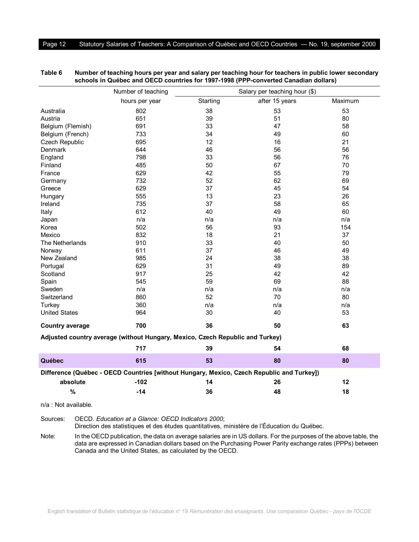|                        | Number of teaching                                                            | Salary per teaching hour (\$) |                                                                                           |         |  |
|------------------------|-------------------------------------------------------------------------------|-------------------------------|-------------------------------------------------------------------------------------------|---------|--|
|                        | hours per year                                                                | Starting                      | after 15 years                                                                            | Maximum |  |
| Australia              | 802                                                                           | 38                            | 53                                                                                        | 53      |  |
| Austria                | 651                                                                           | 39                            | 51                                                                                        | 80      |  |
| Belgium (Flemish)      | 691                                                                           | 33                            | 47                                                                                        | 58      |  |
| Belgium (French)       | 733                                                                           | 34                            | 49                                                                                        | 60      |  |
| Czech Republic         | 695                                                                           | 12                            | 16                                                                                        | 21      |  |
| Denmark                | 644                                                                           | 46                            | 56                                                                                        | 56      |  |
| England                | 798                                                                           | 33                            | 56                                                                                        | 76      |  |
| Finland                | 485                                                                           | 50                            | 67                                                                                        | 70      |  |
| France                 | 629                                                                           | 42                            | 55                                                                                        | 79      |  |
| Germany                | 732                                                                           | 52                            | 62                                                                                        | 69      |  |
| Greece                 | 629                                                                           | 37                            | 45                                                                                        | 54      |  |
| Hungary                | 555                                                                           | 13                            | 23                                                                                        | 26      |  |
| Ireland                | 735                                                                           | 37                            | 58                                                                                        | 65      |  |
| Italy                  | 612                                                                           | 40                            | 49                                                                                        | 60      |  |
| Japan                  | n/a                                                                           | n/a                           | n/a                                                                                       | n/a     |  |
| Korea                  | 502                                                                           | 56                            | 93                                                                                        | 154     |  |
| Mexico                 | 832                                                                           | 18                            | 21                                                                                        | 37      |  |
| The Netherlands        | 910                                                                           | 33                            | 40                                                                                        | 50      |  |
| Norway                 | 611                                                                           | 37                            | 46                                                                                        | 49      |  |
| New Zealand            | 985                                                                           | 24                            | 38                                                                                        | 38      |  |
| Portugal               | 629                                                                           | 31                            | 49                                                                                        | 89      |  |
| Scotland               | 917                                                                           | 25                            | 42                                                                                        | 42      |  |
| Spain                  | 545                                                                           | 59                            | 69                                                                                        | 88      |  |
| Sweden                 | n/a                                                                           | n/a                           | n/a                                                                                       | n/a     |  |
| Switzerland            | 860                                                                           | 52                            | 70                                                                                        | 80      |  |
| Turkey                 | 360                                                                           | n/a                           | n/a                                                                                       | n/a     |  |
| <b>United States</b>   | 964                                                                           | 30                            | 40                                                                                        | 53      |  |
| <b>Country average</b> | 700                                                                           | 36                            | 50                                                                                        | 63      |  |
|                        | Adjusted country average (without Hungary, Mexico, Czech Republic and Turkey) |                               |                                                                                           |         |  |
|                        | 717                                                                           | 39                            | 54                                                                                        | 68      |  |
| Québec                 | 615                                                                           | 53                            | 80                                                                                        | 80      |  |
|                        |                                                                               |                               | Difference (Québec - OECD Countries [without Hungary, Mexico, Czech Republic and Turkey]) |         |  |
| absolute               | $-102$                                                                        | 14                            | 26                                                                                        | 12      |  |
| %                      | $-14$                                                                         | 36                            | 48                                                                                        | 18      |  |
| $n/a$ . Not available  |                                                                               |                               |                                                                                           |         |  |

**Table 6 Number of teaching hours per year and salary per teaching hour for teachers in public lower secondary schools in Québec and OECD countries for 1997-1998 (PPP-converted Canadian dollars)**

Sources: OECD. *Education at a Glance: OECD Indicators 2000*;

Direction des statistiques et des études quantitatives, ministère de l'Éducation du Québec.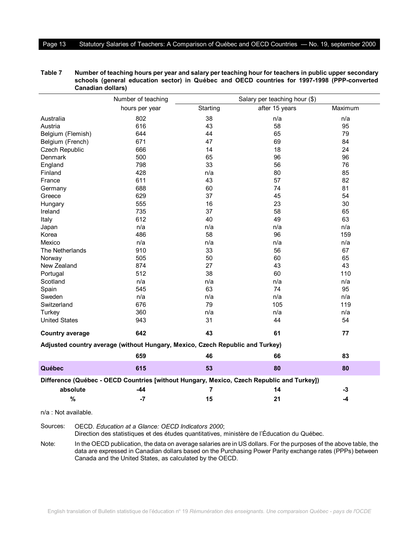#### Page 13 Statutory Salaries of Teachers: A Comparison of Québec and OECD Countries — No. 19, september 2000

|                        | Number of teaching                                                            | Salary per teaching hour (\$) |                                                                                           |         |  |
|------------------------|-------------------------------------------------------------------------------|-------------------------------|-------------------------------------------------------------------------------------------|---------|--|
|                        | hours per year                                                                | Starting                      | after 15 years                                                                            | Maximum |  |
| Australia              | 802                                                                           | 38                            | n/a                                                                                       | n/a     |  |
| Austria                | 616                                                                           | 43                            | 58                                                                                        | 95      |  |
| Belgium (Flemish)      | 644                                                                           | 44                            | 65                                                                                        | 79      |  |
| Belgium (French)       | 671                                                                           | 47                            | 69                                                                                        | 84      |  |
| Czech Republic         | 666                                                                           | 14                            | 18                                                                                        | 24      |  |
| <b>Denmark</b>         | 500                                                                           | 65                            | 96                                                                                        | 96      |  |
| England                | 798                                                                           | 33                            | 56                                                                                        | 76      |  |
| Finland                | 428                                                                           | n/a                           | 80                                                                                        | 85      |  |
| France                 | 611                                                                           | 43                            | 57                                                                                        | 82      |  |
| Germany                | 688                                                                           | 60                            | 74                                                                                        | 81      |  |
| Greece                 | 629                                                                           | 37                            | 45                                                                                        | 54      |  |
| Hungary                | 555                                                                           | 16                            | 23                                                                                        | 30      |  |
| Ireland                | 735                                                                           | 37                            | 58                                                                                        | 65      |  |
| Italy                  | 612                                                                           | 40                            | 49                                                                                        | 63      |  |
| Japan                  | n/a                                                                           | n/a                           | n/a                                                                                       | n/a     |  |
| Korea                  | 486                                                                           | 58                            | 96                                                                                        | 159     |  |
| Mexico                 | n/a                                                                           | n/a                           | n/a                                                                                       | n/a     |  |
| The Netherlands        | 910                                                                           | 33                            | 56                                                                                        | 67      |  |
| Norway                 | 505                                                                           | 50                            | 60                                                                                        | 65      |  |
| New Zealand            | 874                                                                           | 27                            | 43                                                                                        | 43      |  |
| Portugal               | 512                                                                           | 38                            | 60                                                                                        | 110     |  |
| Scotland               | n/a                                                                           | n/a                           | n/a                                                                                       | n/a     |  |
| Spain                  | 545                                                                           | 63                            | 74                                                                                        | 95      |  |
| Sweden                 | n/a                                                                           | n/a                           | n/a                                                                                       | n/a     |  |
| Switzerland            | 676                                                                           | 79                            | 105                                                                                       | 119     |  |
| Turkey                 | 360                                                                           | n/a                           | n/a                                                                                       | n/a     |  |
| <b>United States</b>   | 943                                                                           | 31                            | 44                                                                                        | 54      |  |
| <b>Country average</b> | 642                                                                           | 43                            | 61                                                                                        | 77      |  |
|                        | Adjusted country average (without Hungary, Mexico, Czech Republic and Turkey) |                               |                                                                                           |         |  |
|                        | 659                                                                           | 46                            | 66                                                                                        | 83      |  |
| Québec                 | 615                                                                           | 53                            | 80                                                                                        | 80      |  |
|                        |                                                                               |                               | Difference (Québec - OECD Countries [without Hungary, Mexico, Czech Republic and Turkey]) |         |  |
| absolute               | -44                                                                           | 7                             | 14                                                                                        | $-3$    |  |
| %                      | $-7$                                                                          | 15                            | 21                                                                                        | $-4$    |  |

**Table 7 Number of teaching hours per year and salary per teaching hour for teachers in public upper secondary schools (general education sector) in Québec and OECD countries for 1997-1998 (PPP-converted Canadian dollars)**

n/a : Not available.

Sources: OECD. *Education at a Glance: OECD Indicators 2000*;

Direction des statistiques et des études quantitatives, ministère de l'Éducation du Québec.